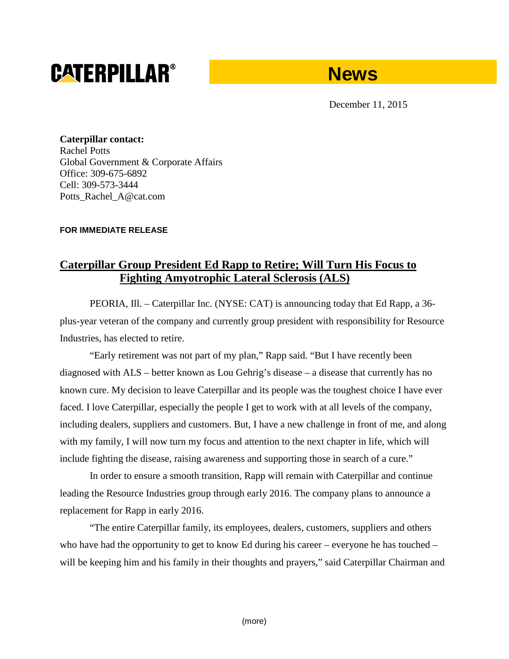# **CATERPILLAR®**



December 11, 2015

**Caterpillar contact:** Rachel Potts Global Government & Corporate Affairs Office: 309-675-6892 Cell: 309-573-3444 Potts\_Rachel\_A@cat.com

## **FOR IMMEDIATE RELEASE**

## **Caterpillar Group President Ed Rapp to Retire; Will Turn His Focus to Fighting Amyotrophic Lateral Sclerosis (ALS)**

PEORIA, Ill. – Caterpillar Inc. (NYSE: CAT) is announcing today that Ed Rapp, a 36 plus-year veteran of the company and currently group president with responsibility for Resource Industries, has elected to retire.

"Early retirement was not part of my plan," Rapp said. "But I have recently been diagnosed with ALS – better known as Lou Gehrig's disease – a disease that currently has no known cure. My decision to leave Caterpillar and its people was the toughest choice I have ever faced. I love Caterpillar, especially the people I get to work with at all levels of the company, including dealers, suppliers and customers. But, I have a new challenge in front of me, and along with my family, I will now turn my focus and attention to the next chapter in life, which will include fighting the disease, raising awareness and supporting those in search of a cure."

In order to ensure a smooth transition, Rapp will remain with Caterpillar and continue leading the Resource Industries group through early 2016. The company plans to announce a replacement for Rapp in early 2016.

"The entire Caterpillar family, its employees, dealers, customers, suppliers and others who have had the opportunity to get to know Ed during his career – everyone he has touched – will be keeping him and his family in their thoughts and prayers," said Caterpillar Chairman and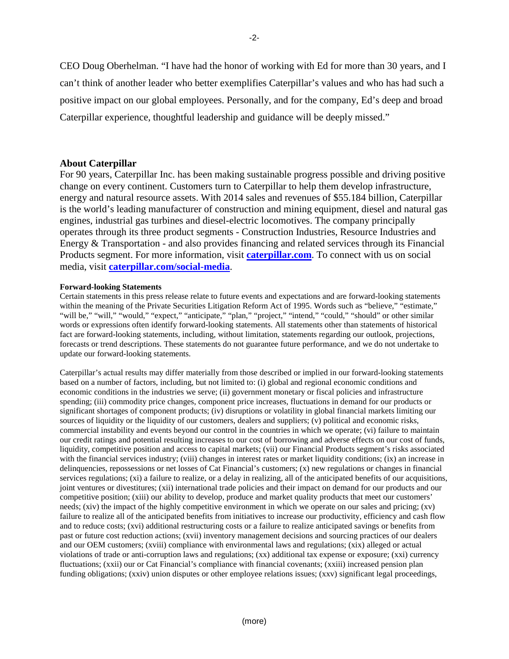CEO Doug Oberhelman. "I have had the honor of working with Ed for more than 30 years, and I can't think of another leader who better exemplifies Caterpillar's values and who has had such a positive impact on our global employees. Personally, and for the company, Ed's deep and broad Caterpillar experience, thoughtful leadership and guidance will be deeply missed."

### **About Caterpillar**

For 90 years, Caterpillar Inc. has been making sustainable progress possible and driving positive change on every continent. Customers turn to Caterpillar to help them develop infrastructure, energy and natural resource assets. With 2014 sales and revenues of \$55.184 billion, Caterpillar is the world's leading manufacturer of construction and mining equipment, diesel and natural gas engines, industrial gas turbines and diesel-electric locomotives. The company principally operates through its three product segments - Construction Industries, Resource Industries and Energy & Transportation - and also provides financing and related services through its Financial Products segment. For more information, visit **[caterpillar.com](http://www.caterpillar.com/en.html)**. To connect with us on social media, visit **[caterpillar.com/social-media](http://www.caterpillar.com/en/news/social-media.html)**.

#### **Forward-looking Statements**

Certain statements in this press release relate to future events and expectations and are forward-looking statements within the meaning of the Private Securities Litigation Reform Act of 1995. Words such as "believe," "estimate," "will be," "will," "would," "expect," "anticipate," "plan," "project," "intend," "could," "should" or other similar words or expressions often identify forward-looking statements. All statements other than statements of historical fact are forward-looking statements, including, without limitation, statements regarding our outlook, projections, forecasts or trend descriptions. These statements do not guarantee future performance, and we do not undertake to update our forward-looking statements.

Caterpillar's actual results may differ materially from those described or implied in our forward-looking statements based on a number of factors, including, but not limited to: (i) global and regional economic conditions and economic conditions in the industries we serve; (ii) government monetary or fiscal policies and infrastructure spending; (iii) commodity price changes, component price increases, fluctuations in demand for our products or significant shortages of component products; (iv) disruptions or volatility in global financial markets limiting our sources of liquidity or the liquidity of our customers, dealers and suppliers; (v) political and economic risks, commercial instability and events beyond our control in the countries in which we operate; (vi) failure to maintain our credit ratings and potential resulting increases to our cost of borrowing and adverse effects on our cost of funds, liquidity, competitive position and access to capital markets; (vii) our Financial Products segment's risks associated with the financial services industry; (viii) changes in interest rates or market liquidity conditions; (ix) an increase in delinquencies, repossessions or net losses of Cat Financial's customers; (x) new regulations or changes in financial services regulations; (xi) a failure to realize, or a delay in realizing, all of the anticipated benefits of our acquisitions, joint ventures or divestitures; (xii) international trade policies and their impact on demand for our products and our competitive position; (xiii) our ability to develop, produce and market quality products that meet our customers' needs; (xiv) the impact of the highly competitive environment in which we operate on our sales and pricing; (xv) failure to realize all of the anticipated benefits from initiatives to increase our productivity, efficiency and cash flow and to reduce costs; (xvi) additional restructuring costs or a failure to realize anticipated savings or benefits from past or future cost reduction actions; (xvii) inventory management decisions and sourcing practices of our dealers and our OEM customers; (xviii) compliance with environmental laws and regulations; (xix) alleged or actual violations of trade or anti-corruption laws and regulations; (xx) additional tax expense or exposure; (xxi) currency fluctuations; (xxii) our or Cat Financial's compliance with financial covenants; (xxiii) increased pension plan funding obligations; (xxiv) union disputes or other employee relations issues; (xxv) significant legal proceedings,